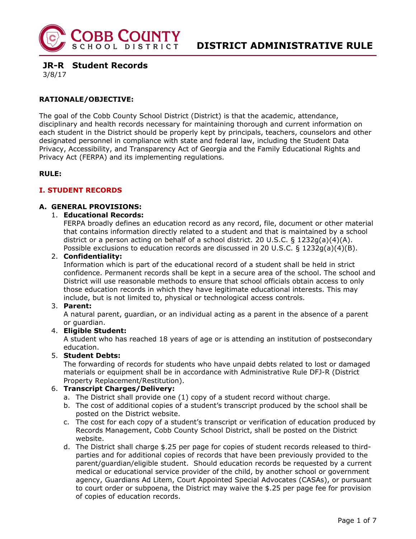

**JR-R Student Records** 

3/8/17

# **RATIONALE/OBJECTIVE:**

The goal of the Cobb County School District (District) is that the academic, attendance, disciplinary and health records necessary for maintaining thorough and current information on each student in the District should be properly kept by principals, teachers, counselors and other designated personnel in compliance with state and federal law, including the Student Data Privacy, Accessibility, and Transparency Act of Georgia and the Family Educational Rights and Privacy Act (FERPA) and its implementing regulations.

## **RULE:**

## **I. STUDENT RECORDS**

## **A. GENERAL PROVISIONS:**

#### 1. **Educational Records:**

FERPA broadly defines an education record as any record, file, document or other material that contains information directly related to a student and that is maintained by a school district or a person acting on behalf of a school district. 20 U.S.C.  $\S$  1232g(a)(4)(A). Possible exclusions to education records are discussed in 20 U.S.C. § 1232g(a)(4)(B).

#### 2. **Confidentiality:**

Information which is part of the educational record of a student shall be held in strict confidence. Permanent records shall be kept in a secure area of the school. The school and District will use reasonable methods to ensure that school officials obtain access to only those education records in which they have legitimate educational interests. This may include, but is not limited to, physical or technological access controls.

#### 3. **Parent:**

A natural parent, guardian, or an individual acting as a parent in the absence of a parent or guardian.

#### 4. **Eligible Student:**

A student who has reached 18 years of age or is attending an institution of postsecondary education.

### 5. **Student Debts:**

The forwarding of records for students who have unpaid debts related to lost or damaged materials or equipment shall be in accordance with Administrative Rule DFJ-R (District Property Replacement/Restitution).

## 6. **Transcript Charges/Delivery:**

- a. The District shall provide one (1) copy of a student record without charge.
- b. The cost of additional copies of a student's transcript produced by the school shall be posted on the District website.
- c. The cost for each copy of a student's transcript or verification of education produced by Records Management, Cobb County School District, shall be posted on the District website.
- d. The District shall charge \$.25 per page for copies of student records released to thirdparties and for additional copies of records that have been previously provided to the parent/guardian/eligible student. Should education records be requested by a current medical or educational service provider of the child, by another school or government agency, Guardians Ad Litem, Court Appointed Special Advocates (CASAs), or pursuant to court order or subpoena, the District may waive the \$.25 per page fee for provision of copies of education records.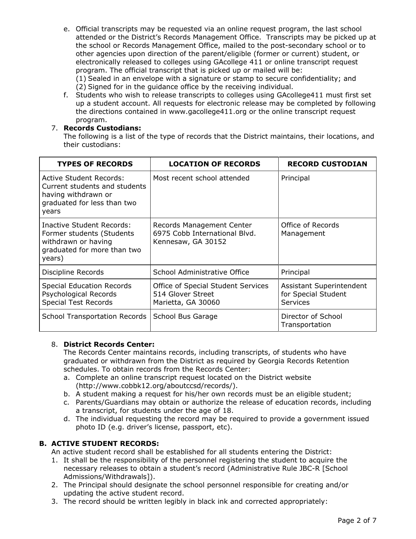e. Official transcripts may be requested via an online request program, the last school attended or the District's Records Management Office. Transcripts may be picked up at the school or Records Management Office, mailed to the post-secondary school or to other agencies upon direction of the parent/eligible (former or current) student, or electronically released to colleges using GAcollege 411 or online transcript request program. The official transcript that is picked up or mailed will be:

(1) Sealed in an envelope with a signature or stamp to secure confidentiality; and (2) Signed for in the guidance office by the receiving individual.

f. Students who wish to release transcripts to colleges using GAcollege411 must first set up a student account. All requests for electronic release may be completed by following the directions contained in www.gacollege411.org or the online transcript request program.

# 7. **Records Custodians:**

The following is a list of the type of records that the District maintains, their locations, and their custodians:

| <b>TYPES OF RECORDS</b>                                                                                                 | <b>LOCATION OF RECORDS</b>                                                       | <b>RECORD CUSTODIAN</b>                                     |
|-------------------------------------------------------------------------------------------------------------------------|----------------------------------------------------------------------------------|-------------------------------------------------------------|
| Active Student Records:<br>Current students and students<br>having withdrawn or<br>graduated for less than two<br>years | Most recent school attended                                                      | Principal                                                   |
| Inactive Student Records:<br>Former students (Students<br>withdrawn or having<br>graduated for more than two<br>years)  | Records Management Center<br>6975 Cobb International Blyd.<br>Kennesaw, GA 30152 | Office of Records<br>Management                             |
| Discipline Records                                                                                                      | School Administrative Office                                                     | Principal                                                   |
| <b>Special Education Records</b><br>Psychological Records<br><b>Special Test Records</b>                                | Office of Special Student Services<br>514 Glover Street<br>Marietta, GA 30060    | Assistant Superintendent<br>for Special Student<br>Services |
| <b>School Transportation Records</b>                                                                                    | School Bus Garage                                                                | Director of School<br>Transportation                        |

## 8. **District Records Center:**

The Records Center maintains records, including transcripts, of students who have graduated or withdrawn from the District as required by Georgia Records Retention schedules. To obtain records from the Records Center:

- a. Complete an online transcript request located on the District website (http://www.cobbk12.org/aboutccsd/records/).
- b. A student making a request for his/her own records must be an eligible student;
- c. Parents/Guardians may obtain or authorize the release of education records, including a transcript, for students under the age of 18.
- d. The individual requesting the record may be required to provide a government issued photo ID (e.g. driver's license, passport, etc).

## **B. ACTIVE STUDENT RECORDS:**

An active student record shall be established for all students entering the District:

- 1. It shall be the responsibility of the personnel registering the student to acquire the necessary releases to obtain a student's record (Administrative Rule JBC-R [School Admissions/Withdrawals]).
- 2. The Principal should designate the school personnel responsible for creating and/or updating the active student record.
- 3. The record should be written legibly in black ink and corrected appropriately: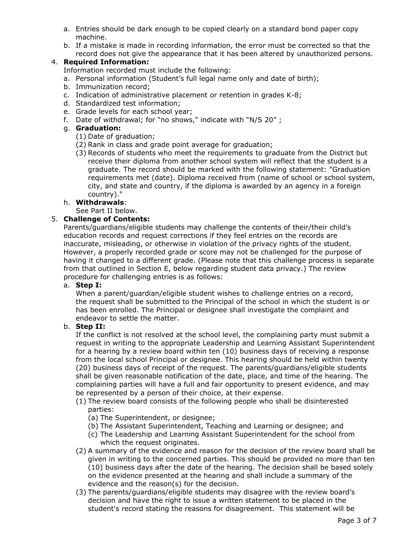- a. Entries should be dark enough to be copied clearly on a standard bond paper copy machine.
- b. If a mistake is made in recording information, the error must be corrected so that the record does not give the appearance that it has been altered by unauthorized persons.

## 4. **Required Information:**

Information recorded must include the following:

- a. Personal information (Student's full legal name only and date of birth);
- b. Immunization record;
- c. Indication of administrative placement or retention in grades K-8;
- d. Standardized test information;
- e. Grade levels for each school year;
- f. Date of withdrawal; for "no shows," indicate with "N/S 20" ;

## g. **Graduation:**

- (1) Date of graduation;
- (2) Rank in class and grade point average for graduation;
- (3) Records of students who meet the requirements to graduate from the District but receive their diploma from another school system will reflect that the student is a graduate. The record should be marked with the following statement: "Graduation requirements met (date). Diploma received from (name of school or school system, city, and state and country, if the diploma is awarded by an agency in a foreign country)."

## h. **Withdrawals**:

#### See Part II below.

## 5. **Challenge of Contents:**

Parents/guardians/eligible students may challenge the contents of their/their child's education records and request corrections if they feel entries on the records are inaccurate, misleading, or otherwise in violation of the privacy rights of the student. However, a properly recorded grade or score may not be challenged for the purpose of having it changed to a different grade. (Please note that this challenge process is separate from that outlined in Section E, below regarding student data privacy.) The review procedure for challenging entries is as follows:

#### a. **Step I:**

When a parent/guardian/eligible student wishes to challenge entries on a record, the request shall be submitted to the Principal of the school in which the student is or has been enrolled. The Principal or designee shall investigate the complaint and endeavor to settle the matter.

## b. **Step II:**

If the conflict is not resolved at the school level, the complaining party must submit a request in writing to the appropriate Leadership and Learning Assistant Superintendent for a hearing by a review board within ten (10) business days of receiving a response from the local school Principal or designee. This hearing should be held within twenty (20) business days of receipt of the request. The parents/guardians/eligible students shall be given reasonable notification of the date, place, and time of the hearing. The complaining parties will have a full and fair opportunity to present evidence, and may be represented by a person of their choice, at their expense.

- (1) The review board consists of the following people who shall be disinterested parties:
	- (a) The Superintendent, or designee;
	- (b) The Assistant Superintendent, Teaching and Learning or designee; and
	- (c) The Leadership and Learning Assistant Superintendent for the school from which the request originates.
- (2) A summary of the evidence and reason for the decision of the review board shall be given in writing to the concerned parties. This should be provided no more than ten (10) business days after the date of the hearing. The decision shall be based solely on the evidence presented at the hearing and shall include a summary of the evidence and the reason(s) for the decision.
- (3) The parents/guardians/eligible students may disagree with the review board's decision and have the right to issue a written statement to be placed in the student's record stating the reasons for disagreement. This statement will be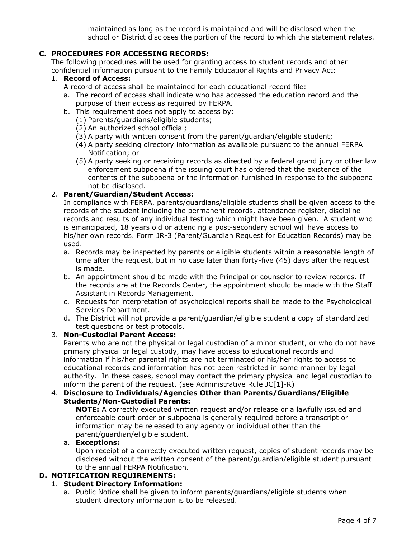maintained as long as the record is maintained and will be disclosed when the school or District discloses the portion of the record to which the statement relates.

# **C. PROCEDURES FOR ACCESSING RECORDS:**

The following procedures will be used for granting access to student records and other confidential information pursuant to the Family Educational Rights and Privacy Act:

# 1. **Record of Access:**

- A record of access shall be maintained for each educational record file:
- a. The record of access shall indicate who has accessed the education record and the purpose of their access as required by FERPA.
- b. This requirement does not apply to access by:
	- (1) Parents/guardians/eligible students;
	- (2) An authorized school official;
	- (3) A party with written consent from the parent/guardian/eligible student;
	- (4) A party seeking directory information as available pursuant to the annual FERPA Notification; or
	- (5) A party seeking or receiving records as directed by a federal grand jury or other law enforcement subpoena if the issuing court has ordered that the existence of the contents of the subpoena or the information furnished in response to the subpoena not be disclosed.

## 2. **Parent/Guardian/Student Access:**

In compliance with FERPA, parents/guardians/eligible students shall be given access to the records of the student including the permanent records, attendance register, discipline records and results of any individual testing which might have been given. A student who is emancipated, 18 years old or attending a post-secondary school will have access to his/her own records. Form JR-3 (Parent/Guardian Request for Education Records) may be used.

- a. Records may be inspected by parents or eligible students within a reasonable length of time after the request, but in no case later than forty-five (45) days after the request is made.
- b. An appointment should be made with the Principal or counselor to review records. If the records are at the Records Center, the appointment should be made with the Staff Assistant in Records Management.
- c. Requests for interpretation of psychological reports shall be made to the Psychological Services Department.
- d. The District will not provide a parent/guardian/eligible student a copy of standardized test questions or test protocols.

## 3. **Non-Custodial Parent Access:**

Parents who are not the physical or legal custodian of a minor student, or who do not have primary physical or legal custody, may have access to educational records and information if his/her parental rights are not terminated or his/her rights to access to educational records and information has not been restricted in some manner by legal authority. In these cases, school may contact the primary physical and legal custodian to inform the parent of the request. (see Administrative Rule JC[1]-R)

#### 4. **Disclosure to Individuals/Agencies Other than Parents/Guardians/Eligible Students/Non-Custodial Parents:**

**NOTE:** A correctly executed written request and/or release or a lawfully issued and enforceable court order or subpoena is generally required before a transcript or information may be released to any agency or individual other than the parent/guardian/eligible student.

## a. **Exceptions:**

Upon receipt of a correctly executed written request, copies of student records may be disclosed without the written consent of the parent/guardian/eligible student pursuant to the annual FERPA Notification.

# **D. NOTIFICATION REQUIREMENTS:**

## 1. **Student Directory Information:**

a. Public Notice shall be given to inform parents/guardians/eligible students when student directory information is to be released.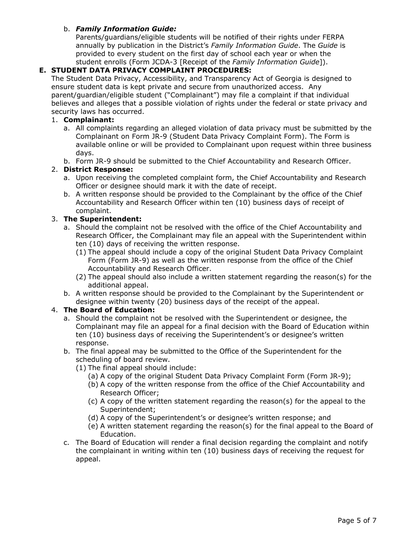## b. *Family Information Guide:*

Parents/guardians/eligible students will be notified of their rights under FERPA annually by publication in the District's *Family Information Guide*. The *Guide* is provided to every student on the first day of school each year or when the student enrolls (Form JCDA-3 [Receipt of the *Family Information Guide*]).

# **E. STUDENT DATA PRIVACY COMPLAINT PROCEDURES:**

The Student Data Privacy, Accessibility, and Transparency Act of Georgia is designed to ensure student data is kept private and secure from unauthorized access. Any parent/guardian/eligible student ("Complainant") may file a complaint if that individual believes and alleges that a possible violation of rights under the federal or state privacy and security laws has occurred.

## 1. **Complainant:**

- a. All complaints regarding an alleged violation of data privacy must be submitted by the Complainant on Form JR-9 (Student Data Privacy Complaint Form). The Form is available online or will be provided to Complainant upon request within three business days.
- b. Form JR-9 should be submitted to the Chief Accountability and Research Officer.

## 2. **District Response:**

- a. Upon receiving the completed complaint form, the Chief Accountability and Research Officer or designee should mark it with the date of receipt.
- b. A written response should be provided to the Complainant by the office of the Chief Accountability and Research Officer within ten (10) business days of receipt of complaint.

## 3. **The Superintendent:**

- a. Should the complaint not be resolved with the office of the Chief Accountability and Research Officer, the Complainant may file an appeal with the Superintendent within ten (10) days of receiving the written response.
	- (1) The appeal should include a copy of the original Student Data Privacy Complaint Form (Form JR-9) as well as the written response from the office of the Chief Accountability and Research Officer.
	- (2) The appeal should also include a written statement regarding the reason(s) for the additional appeal.
- b. A written response should be provided to the Complainant by the Superintendent or designee within twenty (20) business days of the receipt of the appeal.

#### 4. **The Board of Education:**

- a. Should the complaint not be resolved with the Superintendent or designee, the Complainant may file an appeal for a final decision with the Board of Education within ten (10) business days of receiving the Superintendent's or designee's written response.
- b. The final appeal may be submitted to the Office of the Superintendent for the scheduling of board review.
	- (1) The final appeal should include:
		- (a) A copy of the original Student Data Privacy Complaint Form (Form JR-9);
		- (b) A copy of the written response from the office of the Chief Accountability and Research Officer;
		- (c) A copy of the written statement regarding the reason(s) for the appeal to the Superintendent;
		- (d) A copy of the Superintendent's or designee's written response; and
		- (e) A written statement regarding the reason(s) for the final appeal to the Board of Education.
- c. The Board of Education will render a final decision regarding the complaint and notify the complainant in writing within ten (10) business days of receiving the request for appeal.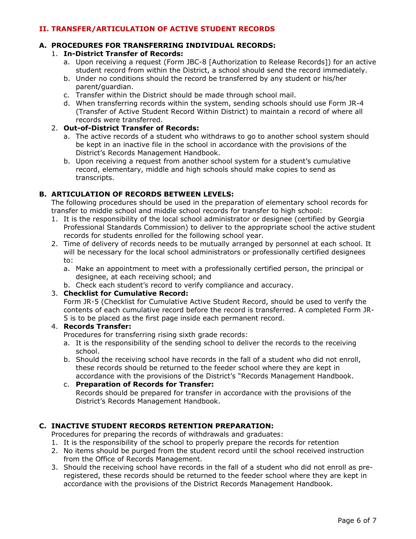## **II. TRANSFER/ARTICULATION OF ACTIVE STUDENT RECORDS**

# **A. PROCEDURES FOR TRANSFERRING INDIVIDUAL RECORDS:**

## 1. **In-District Transfer of Records:**

- a. Upon receiving a request (Form JBC-8 [Authorization to Release Records]) for an active student record from within the District, a school should send the record immediately.
- b. Under no conditions should the record be transferred by any student or his/her parent/guardian.
- c. Transfer within the District should be made through school mail.
- d. When transferring records within the system, sending schools should use Form JR-4 (Transfer of Active Student Record Within District) to maintain a record of where all records were transferred.

## 2. **Out-of-District Transfer of Records:**

- a. The active records of a student who withdraws to go to another school system should be kept in an inactive file in the school in accordance with the provisions of the District's Records Management Handbook.
- b. Upon receiving a request from another school system for a student's cumulative record, elementary, middle and high schools should make copies to send as transcripts.

## **B. ARTICULATION OF RECORDS BETWEEN LEVELS:**

The following procedures should be used in the preparation of elementary school records for transfer to middle school and middle school records for transfer to high school:

- 1. It is the responsibility of the local school administrator or designee (certified by Georgia Professional Standards Commission) to deliver to the appropriate school the active student records for students enrolled for the following school year.
- 2. Time of delivery of records needs to be mutually arranged by personnel at each school. It will be necessary for the local school administrators or professionally certified designees to:
	- a. Make an appointment to meet with a professionally certified person, the principal or designee, at each receiving school; and
	- b. Check each student's record to verify compliance and accuracy.

### 3. **Checklist for Cumulative Record:**

Form JR-5 (Checklist for Cumulative Active Student Record, should be used to verify the contents of each cumulative record before the record is transferred. A completed Form JR-5 is to be placed as the first page inside each permanent record.

# 4. **Records Transfer:**

Procedures for transferring rising sixth grade records:

- a. It is the responsibility of the sending school to deliver the records to the receiving school.
- b. Should the receiving school have records in the fall of a student who did not enroll, these records should be returned to the feeder school where they are kept in accordance with the provisions of the District's "Records Management Handbook.

### c. **Preparation of Records for Transfer:**  Records should be prepared for transfer in accordance with the provisions of the District's Records Management Handbook.

## **C. INACTIVE STUDENT RECORDS RETENTION PREPARATION:**

Procedures for preparing the records of withdrawals and graduates:

- 1. It is the responsibility of the school to properly prepare the records for retention
- 2. No items should be purged from the student record until the school received instruction from the Office of Records Management.
- 3. Should the receiving school have records in the fall of a student who did not enroll as preregistered, these records should be returned to the feeder school where they are kept in accordance with the provisions of the District Records Management Handbook.